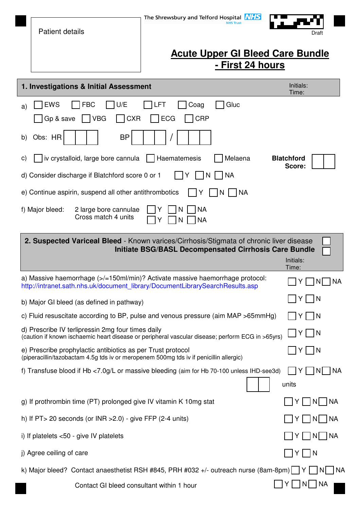|                                                                                                         | <b>Patient details</b>                                                                                                                                | The Shrewsbury and Telford Hospital <b>NHS</b>                                                                                                                 | Draft                |  |  |  |
|---------------------------------------------------------------------------------------------------------|-------------------------------------------------------------------------------------------------------------------------------------------------------|----------------------------------------------------------------------------------------------------------------------------------------------------------------|----------------------|--|--|--|
|                                                                                                         |                                                                                                                                                       |                                                                                                                                                                |                      |  |  |  |
|                                                                                                         |                                                                                                                                                       | <b>Acute Upper GI Bleed Care Bundle</b><br><u>- First 24 hours</u>                                                                                             |                      |  |  |  |
|                                                                                                         | Initials:                                                                                                                                             |                                                                                                                                                                |                      |  |  |  |
|                                                                                                         | 1. Investigations & Initial Assessment                                                                                                                |                                                                                                                                                                | Time:                |  |  |  |
| a)                                                                                                      | <b>EWS</b><br><b>FBC</b><br>U/E<br><b>VBG</b><br>Gp & save<br><b>CXR</b>                                                                              | <b>LFT</b><br>Gluc<br>Coag<br><b>CRP</b><br><b>ECG</b>                                                                                                         |                      |  |  |  |
| b)                                                                                                      | <b>BP</b><br>Obs: HR                                                                                                                                  |                                                                                                                                                                |                      |  |  |  |
| C)                                                                                                      | iv crystalloid, large bore cannula                                                                                                                    | Melaena<br>Haematemesis                                                                                                                                        | <b>Blatchford</b>    |  |  |  |
| Score:<br>d) Consider discharge if Blatchford score 0 or 1<br> NA<br>Y<br>N.                            |                                                                                                                                                       |                                                                                                                                                                |                      |  |  |  |
|                                                                                                         | e) Continue aspirin, suspend all other antithrombotics<br>  NA<br>1Y<br>N.                                                                            |                                                                                                                                                                |                      |  |  |  |
|                                                                                                         | f) Major bleed:<br>2 large bore cannulae<br>Cross match 4 units                                                                                       | <b>NA</b><br><b>NA</b>                                                                                                                                         |                      |  |  |  |
|                                                                                                         |                                                                                                                                                       | 2. Suspected Variceal Bleed - Known varices/Cirrhosis/Stigmata of chronic liver disease<br><b>Initiate BSG/BASL Decompensated Cirrhosis Care Bundle</b>        | Initials:<br>Time:   |  |  |  |
|                                                                                                         |                                                                                                                                                       | a) Massive haemorrhage (>/=150ml/min)? Activate massive haemorrhage protocol:<br>http://intranet.sath.nhs.uk/document_library/DocumentLibrarySearchResults.asp | Y<br>ΝA              |  |  |  |
|                                                                                                         | b) Major GI bleed (as defined in pathway)                                                                                                             |                                                                                                                                                                | Y   N                |  |  |  |
|                                                                                                         |                                                                                                                                                       | c) Fluid resuscitate according to BP, pulse and venous pressure (aim MAP >65mmHg)                                                                              | Y   N                |  |  |  |
|                                                                                                         | d) Prescribe IV terlipressin 2mg four times daily                                                                                                     | (caution if known ischaemic heart disease or peripheral vascular disease; perform ECG in >65yrs)                                                               | Y    N               |  |  |  |
|                                                                                                         | e) Prescribe prophylactic antibiotics as per Trust protocol<br>(piperacillin/tazobactam 4.5g tds iv or meropenem 500mg tds iv if penicillin allergic) |                                                                                                                                                                | Y   N                |  |  |  |
|                                                                                                         |                                                                                                                                                       | f) Transfuse blood if Hb <7.0g/L or massive bleeding (aim for Hb 70-100 unless IHD-see3d)                                                                      | IYI INI INA<br>units |  |  |  |
|                                                                                                         | g) If prothrombin time (PT) prolonged give IV vitamin K 10mg stat                                                                                     |                                                                                                                                                                | N     NA<br>Y I      |  |  |  |
|                                                                                                         | h) If $PT > 20$ seconds (or INR $>2.0$ ) - give FFP (2-4 units)                                                                                       |                                                                                                                                                                | Y   N   NA           |  |  |  |
|                                                                                                         | i) If platelets $< 50$ - give IV platelets                                                                                                            |                                                                                                                                                                | Y   N   NA           |  |  |  |
|                                                                                                         | j) Agree ceiling of care                                                                                                                              |                                                                                                                                                                | $\mathsf{N}$<br>Y    |  |  |  |
| k) Major bleed? Contact anaesthetist RSH #845, PRH #032 +/- outreach nurse (8am-8pm) $ Y $ $ N $<br> NA |                                                                                                                                                       |                                                                                                                                                                |                      |  |  |  |
|                                                                                                         | Contact GI bleed consultant within 1 hour                                                                                                             |                                                                                                                                                                | Y     N    NA        |  |  |  |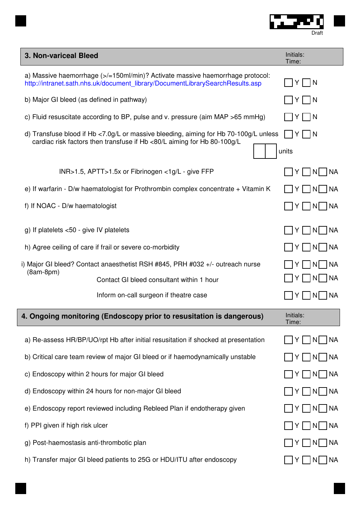

| 3. Non-variceal Bleed                                                                                                                                                        | Initials:<br>Time:                                                                 |                    |
|------------------------------------------------------------------------------------------------------------------------------------------------------------------------------|------------------------------------------------------------------------------------|--------------------|
| a) Massive haemorrhage $\left  \right $ =150ml/min)? Activate massive haemorrhage protocol:<br>http://intranet.sath.nhs.uk/document_library/DocumentLibrarySearchResults.asp | $\sqcap$ Y $\sqcap$ N                                                              |                    |
| b) Major GI bleed (as defined in pathway)                                                                                                                                    | $ Y $ $ N$                                                                         |                    |
| c) Fluid resuscitate according to BP, pulse and v. pressure (aim MAP $>65$ mmHg)                                                                                             | $\sqrt{-}$ $\sqrt{-}$<br>Y                                                         |                    |
| d) Transfuse blood if Hb <7.0g/L or massive bleeding, aiming for Hb 70-100g/L unless<br>cardiac risk factors then transfuse if Hb <80/L aiming for Hb 80-100g/L              | N<br>units                                                                         |                    |
|                                                                                                                                                                              | INR>1.5, APTT>1.5x or Fibrinogen <1g/L - give FFP                                  | Y     N    NA      |
| e) If warfarin - D/w haematologist for Prothrombin complex concentrate + Vitamin K                                                                                           | Y    N   NA                                                                        |                    |
| f) If NOAC - D/w haematologist                                                                                                                                               | Y   N   NA                                                                         |                    |
| g) If platelets $<$ 50 - give IV platelets                                                                                                                                   | Y   N   NA                                                                         |                    |
| h) Agree ceiling of care if frail or severe co-morbidity                                                                                                                     | Y   N   NA                                                                         |                    |
|                                                                                                                                                                              | i) Major GI bleed? Contact anaesthetist RSH #845, PRH #032 +/- outreach nurse      | N   NA<br>YI       |
| $(8am-8pm)$                                                                                                                                                                  | Contact GI bleed consultant within 1 hour                                          | Y    N   NA        |
|                                                                                                                                                                              | Inform on-call surgeon if theatre case                                             | Y     N     NA     |
|                                                                                                                                                                              | 4. Ongoing monitoring (Endoscopy prior to resusitation is dangerous)               | Initials:<br>Time: |
|                                                                                                                                                                              | a) Re-assess HR/BP/UO/rpt Hb after initial resusitation if shocked at presentation | N   NA<br>Y I      |
| b) Critical care team review of major GI bleed or if haemodynamically unstable                                                                                               | N   NA<br>YI                                                                       |                    |
| c) Endoscopy within 2 hours for major GI bleed                                                                                                                               | $\vert N \vert$ $\vert NA$<br>Y I                                                  |                    |
| d) Endoscopy within 24 hours for non-major GI bleed                                                                                                                          | NA<br>NI.                                                                          |                    |
|                                                                                                                                                                              | e) Endoscopy report reviewed including Rebleed Plan if endotherapy given           | NA<br>YI<br>  N    |

- f) PPI given if high risk ulcer  $\Box Y \Box N \Box N$
- g) Post-haemostasis anti-thrombotic plan  $\Box$  Y  $\Box$  N $\Box$  NA
- h) Transfer major GI bleed patients to 25G or HDU/ITU after endoscopy

 $\Box Y \Box N \Box NA$